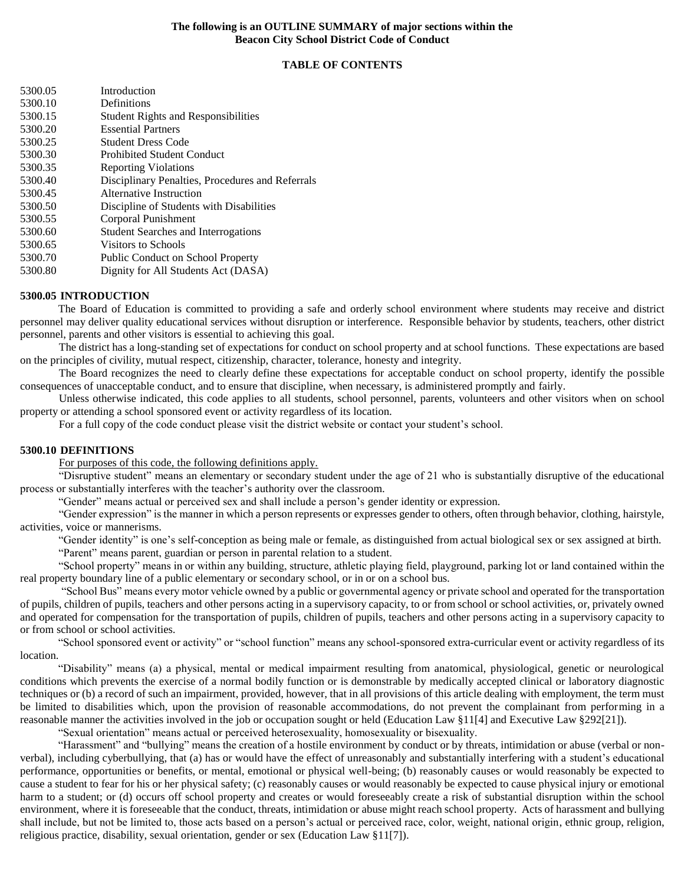### **The following is an OUTLINE SUMMARY of major sections within the Beacon City School District Code of Conduct**

### **TABLE OF CONTENTS**

| 5300.05 | Introduction                                     |
|---------|--------------------------------------------------|
| 5300.10 | Definitions                                      |
| 5300.15 | <b>Student Rights and Responsibilities</b>       |
| 5300.20 | <b>Essential Partners</b>                        |
| 5300.25 | <b>Student Dress Code</b>                        |
| 5300.30 | <b>Prohibited Student Conduct</b>                |
| 5300.35 | <b>Reporting Violations</b>                      |
| 5300.40 | Disciplinary Penalties, Procedures and Referrals |
| 5300.45 | Alternative Instruction                          |
| 5300.50 | Discipline of Students with Disabilities         |
| 5300.55 | Corporal Punishment                              |
| 5300.60 | <b>Student Searches and Interrogations</b>       |
| 5300.65 | Visitors to Schools                              |
| 5300.70 | Public Conduct on School Property                |
| 5300.80 | Dignity for All Students Act (DASA)              |
|         |                                                  |

### **5300.05 INTRODUCTION**

The Board of Education is committed to providing a safe and orderly school environment where students may receive and district personnel may deliver quality educational services without disruption or interference. Responsible behavior by students, teachers, other district personnel, parents and other visitors is essential to achieving this goal.

The district has a long-standing set of expectations for conduct on school property and at school functions. These expectations are based on the principles of civility, mutual respect, citizenship, character, tolerance, honesty and integrity.

The Board recognizes the need to clearly define these expectations for acceptable conduct on school property, identify the possible consequences of unacceptable conduct, and to ensure that discipline, when necessary, is administered promptly and fairly.

Unless otherwise indicated, this code applies to all students, school personnel, parents, volunteers and other visitors when on school property or attending a school sponsored event or activity regardless of its location.

For a full copy of the code conduct please visit the district website or contact your student's school.

#### **5300.10 DEFINITIONS**

For purposes of this code, the following definitions apply.

"Disruptive student" means an elementary or secondary student under the age of 21 who is substantially disruptive of the educational process or substantially interferes with the teacher's authority over the classroom.

"Gender" means actual or perceived sex and shall include a person's gender identity or expression.

"Gender expression" is the manner in which a person represents or expresses gender to others, often through behavior, clothing, hairstyle, activities, voice or mannerisms.

"Gender identity" is one's self-conception as being male or female, as distinguished from actual biological sex or sex assigned at birth.

"Parent" means parent, guardian or person in parental relation to a student.

"School property" means in or within any building, structure, athletic playing field, playground, parking lot or land contained within the real property boundary line of a public elementary or secondary school, or in or on a school bus.

"School Bus" means every motor vehicle owned by a public or governmental agency or private school and operated for the transportation of pupils, children of pupils, teachers and other persons acting in a supervisory capacity, to or from school or school activities, or, privately owned and operated for compensation for the transportation of pupils, children of pupils, teachers and other persons acting in a supervisory capacity to or from school or school activities.

"School sponsored event or activity" or "school function" means any school-sponsored extra-curricular event or activity regardless of its location.

"Disability" means (a) a physical, mental or medical impairment resulting from anatomical, physiological, genetic or neurological conditions which prevents the exercise of a normal bodily function or is demonstrable by medically accepted clinical or laboratory diagnostic techniques or (b) a record of such an impairment, provided, however, that in all provisions of this article dealing with employment, the term must be limited to disabilities which, upon the provision of reasonable accommodations, do not prevent the complainant from performing in a reasonable manner the activities involved in the job or occupation sought or held (Education Law §11[4] and Executive Law §292[21]).

"Sexual orientation" means actual or perceived heterosexuality, homosexuality or bisexuality.

"Harassment" and "bullying" means the creation of a hostile environment by conduct or by threats, intimidation or abuse (verbal or nonverbal), including cyberbullying, that (a) has or would have the effect of unreasonably and substantially interfering with a student's educational performance, opportunities or benefits, or mental, emotional or physical well-being; (b) reasonably causes or would reasonably be expected to cause a student to fear for his or her physical safety; (c) reasonably causes or would reasonably be expected to cause physical injury or emotional harm to a student; or (d) occurs off school property and creates or would foreseeably create a risk of substantial disruption within the school environment, where it is foreseeable that the conduct, threats, intimidation or abuse might reach school property. Acts of harassment and bullying shall include, but not be limited to, those acts based on a person's actual or perceived race, color, weight, national origin, ethnic group, religion, religious practice, disability, sexual orientation, gender or sex (Education Law §11[7]).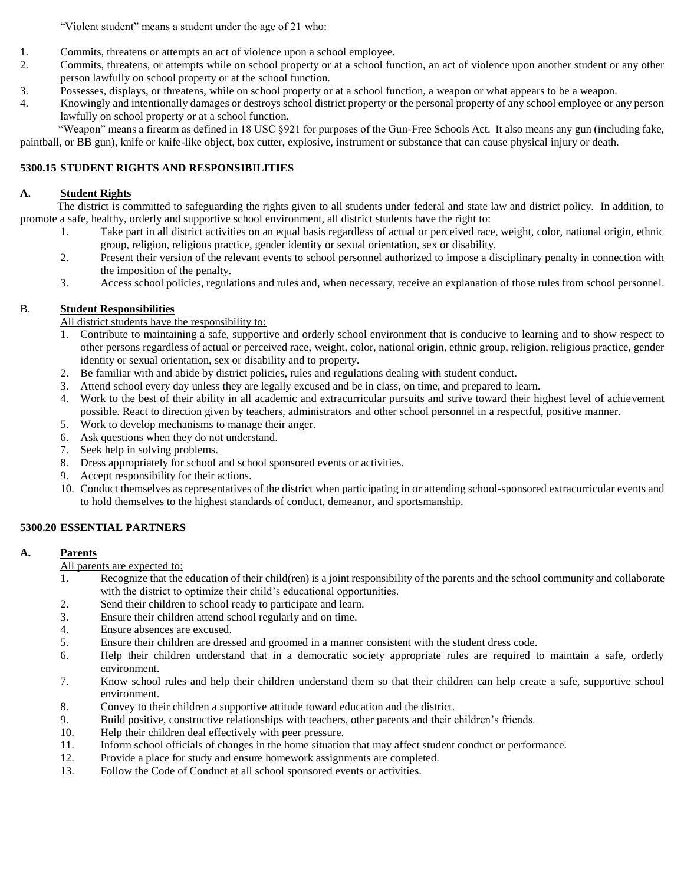"Violent student" means a student under the age of 21 who:

- 1. Commits, threatens or attempts an act of violence upon a school employee.
- 2. Commits, threatens, or attempts while on school property or at a school function, an act of violence upon another student or any other person lawfully on school property or at the school function.
- 3. Possesses, displays, or threatens, while on school property or at a school function, a weapon or what appears to be a weapon.
- 4. Knowingly and intentionally damages or destroys school district property or the personal property of any school employee or any person lawfully on school property or at a school function.

"Weapon" means a firearm as defined in 18 USC §921 for purposes of the Gun-Free Schools Act. It also means any gun (including fake, paintball, or BB gun), knife or knife-like object, box cutter, explosive, instrument or substance that can cause physical injury or death.

## **5300.15 STUDENT RIGHTS AND RESPONSIBILITIES**

## **A. Student Rights**

The district is committed to safeguarding the rights given to all students under federal and state law and district policy. In addition, to promote a safe, healthy, orderly and supportive school environment, all district students have the right to:

- 1. Take part in all district activities on an equal basis regardless of actual or perceived race, weight, color, national origin, ethnic group, religion, religious practice, gender identity or sexual orientation, sex or disability.
- 2. Present their version of the relevant events to school personnel authorized to impose a disciplinary penalty in connection with the imposition of the penalty.
- 3. Access school policies, regulations and rules and, when necessary, receive an explanation of those rules from school personnel.

## B. **Student Responsibilities**

## All district students have the responsibility to:

- 1. Contribute to maintaining a safe, supportive and orderly school environment that is conducive to learning and to show respect to other persons regardless of actual or perceived race, weight, color, national origin, ethnic group, religion, religious practice, gender identity or sexual orientation, sex or disability and to property.
- 2. Be familiar with and abide by district policies, rules and regulations dealing with student conduct.
- 3. Attend school every day unless they are legally excused and be in class, on time, and prepared to learn.
- 4. Work to the best of their ability in all academic and extracurricular pursuits and strive toward their highest level of achievement possible. React to direction given by teachers, administrators and other school personnel in a respectful, positive manner.
- 5. Work to develop mechanisms to manage their anger.
- 6. Ask questions when they do not understand.
- 7. Seek help in solving problems.
- 8. Dress appropriately for school and school sponsored events or activities.
- 9. Accept responsibility for their actions.
- 10. Conduct themselves as representatives of the district when participating in or attending school-sponsored extracurricular events and to hold themselves to the highest standards of conduct, demeanor, and sportsmanship.

## **5300.20 ESSENTIAL PARTNERS**

## **A. Parents**

- All parents are expected to:
- 1. Recognize that the education of their child(ren) is a joint responsibility of the parents and the school community and collaborate with the district to optimize their child's educational opportunities.
- 2. Send their children to school ready to participate and learn.
- 3. Ensure their children attend school regularly and on time.
- 4. Ensure absences are excused.
- 5. Ensure their children are dressed and groomed in a manner consistent with the student dress code.
- 6. Help their children understand that in a democratic society appropriate rules are required to maintain a safe, orderly environment.
- 7. Know school rules and help their children understand them so that their children can help create a safe, supportive school environment.
- 8. Convey to their children a supportive attitude toward education and the district.
- 9. Build positive, constructive relationships with teachers, other parents and their children's friends.
- 10. Help their children deal effectively with peer pressure.
- 11. Inform school officials of changes in the home situation that may affect student conduct or performance.
- 12. Provide a place for study and ensure homework assignments are completed.
- 13. Follow the Code of Conduct at all school sponsored events or activities.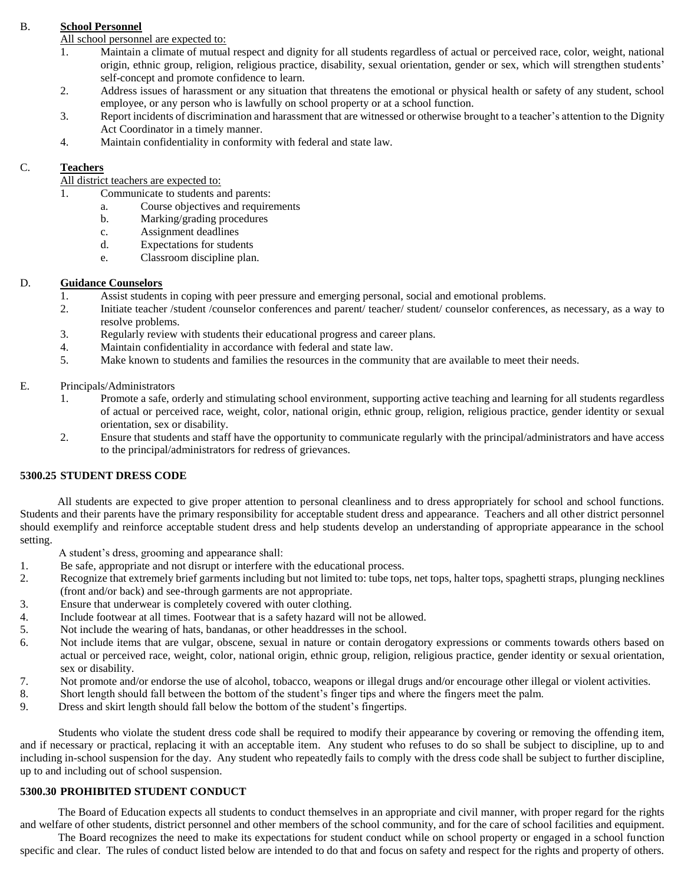## B. **School Personnel**

## All school personnel are expected to:

- 1. Maintain a climate of mutual respect and dignity for all students regardless of actual or perceived race, color, weight, national origin, ethnic group, religion, religious practice, disability, sexual orientation, gender or sex, which will strengthen students' self-concept and promote confidence to learn.
- 2. Address issues of harassment or any situation that threatens the emotional or physical health or safety of any student, school employee, or any person who is lawfully on school property or at a school function.
- 3. Report incidents of discrimination and harassment that are witnessed or otherwise brought to a teacher's attention to the Dignity Act Coordinator in a timely manner.
- 4. Maintain confidentiality in conformity with federal and state law.

## C. **Teachers**

All district teachers are expected to:

- 1. Communicate to students and parents:
	- a. Course objectives and requirements
	- b. Marking/grading procedures
	- c. Assignment deadlines
	- d. Expectations for students
	- e. Classroom discipline plan.

## D. **Guidance Counselors**

- 1. Assist students in coping with peer pressure and emerging personal, social and emotional problems.
- 2. Initiate teacher /student /counselor conferences and parent/ teacher/ student/ counselor conferences, as necessary, as a way to resolve problems.
- 3. Regularly review with students their educational progress and career plans.
- 4. Maintain confidentiality in accordance with federal and state law.
- 5. Make known to students and families the resources in the community that are available to meet their needs.

## E. Principals/Administrators

- 1. Promote a safe, orderly and stimulating school environment, supporting active teaching and learning for all students regardless of actual or perceived race, weight, color, national origin, ethnic group, religion, religious practice, gender identity or sexual orientation, sex or disability.
- 2. Ensure that students and staff have the opportunity to communicate regularly with the principal/administrators and have access to the principal/administrators for redress of grievances.

## **5300.25 STUDENT DRESS CODE**

All students are expected to give proper attention to personal cleanliness and to dress appropriately for school and school functions. Students and their parents have the primary responsibility for acceptable student dress and appearance. Teachers and all other district personnel should exemplify and reinforce acceptable student dress and help students develop an understanding of appropriate appearance in the school setting.

A student's dress, grooming and appearance shall:

- 1. Be safe, appropriate and not disrupt or interfere with the educational process.
- 2. Recognize that extremely brief garments including but not limited to: tube tops, net tops, halter tops, spaghetti straps, plunging necklines (front and/or back) and see-through garments are not appropriate.
- 3. Ensure that underwear is completely covered with outer clothing.
- 4. Include footwear at all times. Footwear that is a safety hazard will not be allowed.
- 5. Not include the wearing of hats, bandanas, or other headdresses in the school.
- 6. Not include items that are vulgar, obscene, sexual in nature or contain derogatory expressions or comments towards others based on actual or perceived race, weight, color, national origin, ethnic group, religion, religious practice, gender identity or sexual orientation, sex or disability.
- 7. Not promote and/or endorse the use of alcohol, tobacco, weapons or illegal drugs and/or encourage other illegal or violent activities.
- 8. Short length should fall between the bottom of the student's finger tips and where the fingers meet the palm.
- 9. Dress and skirt length should fall below the bottom of the student's fingertips.

Students who violate the student dress code shall be required to modify their appearance by covering or removing the offending item, and if necessary or practical, replacing it with an acceptable item. Any student who refuses to do so shall be subject to discipline, up to and including in-school suspension for the day. Any student who repeatedly fails to comply with the dress code shall be subject to further discipline, up to and including out of school suspension.

## **5300.30 PROHIBITED STUDENT CONDUCT**

The Board of Education expects all students to conduct themselves in an appropriate and civil manner, with proper regard for the rights and welfare of other students, district personnel and other members of the school community, and for the care of school facilities and equipment.

The Board recognizes the need to make its expectations for student conduct while on school property or engaged in a school function specific and clear. The rules of conduct listed below are intended to do that and focus on safety and respect for the rights and property of others.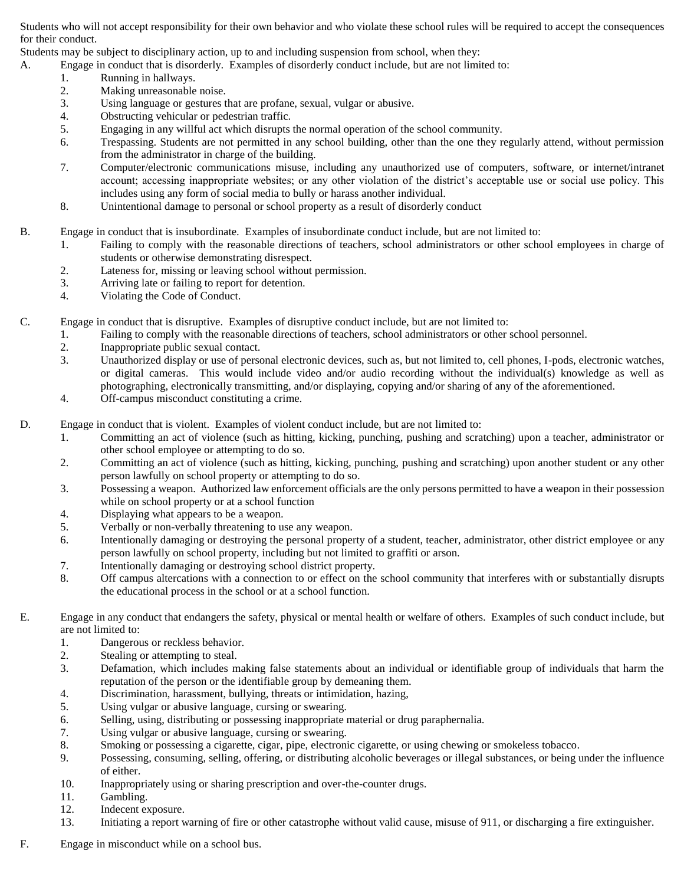Students who will not accept responsibility for their own behavior and who violate these school rules will be required to accept the consequences for their conduct.

Students may be subject to disciplinary action, up to and including suspension from school, when they:

- A. Engage in conduct that is disorderly. Examples of disorderly conduct include, but are not limited to:
	- 1. Running in hallways.
	- 2. Making unreasonable noise.
	- 3. Using language or gestures that are profane, sexual, vulgar or abusive.
	- 4. Obstructing vehicular or pedestrian traffic.
	- 5. Engaging in any willful act which disrupts the normal operation of the school community.
	- 6. Trespassing. Students are not permitted in any school building, other than the one they regularly attend, without permission from the administrator in charge of the building.
	- 7. Computer/electronic communications misuse, including any unauthorized use of computers, software, or internet/intranet account; accessing inappropriate websites; or any other violation of the district's acceptable use or social use policy. This includes using any form of social media to bully or harass another individual.
	- 8. Unintentional damage to personal or school property as a result of disorderly conduct
- B. Engage in conduct that is insubordinate. Examples of insubordinate conduct include, but are not limited to:
	- 1. Failing to comply with the reasonable directions of teachers, school administrators or other school employees in charge of students or otherwise demonstrating disrespect.
	- 2. Lateness for, missing or leaving school without permission.
	- 3. Arriving late or failing to report for detention.
	- 4. Violating the Code of Conduct.

C. Engage in conduct that is disruptive. Examples of disruptive conduct include, but are not limited to:

- 1. Failing to comply with the reasonable directions of teachers, school administrators or other school personnel.
- 2. Inappropriate public sexual contact.
- 3. Unauthorized display or use of personal electronic devices, such as, but not limited to, cell phones, I-pods, electronic watches, or digital cameras. This would include video and/or audio recording without the individual(s) knowledge as well as photographing, electronically transmitting, and/or displaying, copying and/or sharing of any of the aforementioned.
- 4. Off-campus misconduct constituting a crime.
- D. Engage in conduct that is violent. Examples of violent conduct include, but are not limited to:
	- 1. Committing an act of violence (such as hitting, kicking, punching, pushing and scratching) upon a teacher, administrator or other school employee or attempting to do so.
	- 2. Committing an act of violence (such as hitting, kicking, punching, pushing and scratching) upon another student or any other person lawfully on school property or attempting to do so.
	- 3. Possessing a weapon. Authorized law enforcement officials are the only persons permitted to have a weapon in their possession while on school property or at a school function
	- 4. Displaying what appears to be a weapon.
	- 5. Verbally or non-verbally threatening to use any weapon.
	- 6. Intentionally damaging or destroying the personal property of a student, teacher, administrator, other district employee or any person lawfully on school property, including but not limited to graffiti or arson.
	- 7. Intentionally damaging or destroying school district property.
	- 8. Off campus altercations with a connection to or effect on the school community that interferes with or substantially disrupts the educational process in the school or at a school function.
- E. Engage in any conduct that endangers the safety, physical or mental health or welfare of others. Examples of such conduct include, but are not limited to:
	- 1. Dangerous or reckless behavior.
	- 2. Stealing or attempting to steal.
	- 3. Defamation, which includes making false statements about an individual or identifiable group of individuals that harm the reputation of the person or the identifiable group by demeaning them.
	- 4. Discrimination, harassment, bullying, threats or intimidation, hazing,
	- 5. Using vulgar or abusive language, cursing or swearing.
	- 6. Selling, using, distributing or possessing inappropriate material or drug paraphernalia.
	- 7. Using vulgar or abusive language, cursing or swearing.
	- 8. Smoking or possessing a cigarette, cigar, pipe, electronic cigarette, or using chewing or smokeless tobacco.
	- 9. Possessing, consuming, selling, offering, or distributing alcoholic beverages or illegal substances, or being under the influence of either.
	- 10. Inappropriately using or sharing prescription and over-the-counter drugs.
	- 11. Gambling.
	- 12. Indecent exposure.
	- 13. Initiating a report warning of fire or other catastrophe without valid cause, misuse of 911, or discharging a fire extinguisher.
- F. Engage in misconduct while on a school bus.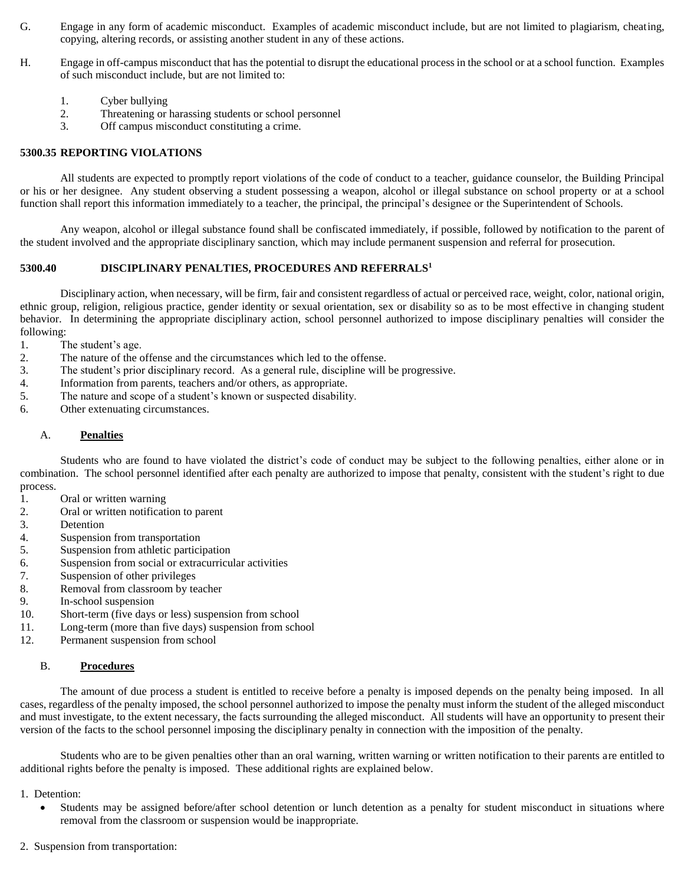- G. Engage in any form of academic misconduct. Examples of academic misconduct include, but are not limited to plagiarism, cheating, copying, altering records, or assisting another student in any of these actions.
- H. Engage in off-campus misconduct that has the potential to disrupt the educational process in the school or at a school function. Examples of such misconduct include, but are not limited to:
	- 1. Cyber bullying
	- 2. Threatening or harassing students or school personnel
	- 3. Off campus misconduct constituting a crime.

### **5300.35 REPORTING VIOLATIONS**

All students are expected to promptly report violations of the code of conduct to a teacher, guidance counselor, the Building Principal or his or her designee. Any student observing a student possessing a weapon, alcohol or illegal substance on school property or at a school function shall report this information immediately to a teacher, the principal, the principal's designee or the Superintendent of Schools.

Any weapon, alcohol or illegal substance found shall be confiscated immediately, if possible, followed by notification to the parent of the student involved and the appropriate disciplinary sanction, which may include permanent suspension and referral for prosecution.

#### **5300.40 DISCIPLINARY PENALTIES, PROCEDURES AND REFERRALS<sup>1</sup>**

Disciplinary action, when necessary, will be firm, fair and consistent regardless of actual or perceived race, weight, color, national origin, ethnic group, religion, religious practice, gender identity or sexual orientation, sex or disability so as to be most effective in changing student behavior. In determining the appropriate disciplinary action, school personnel authorized to impose disciplinary penalties will consider the following:

1. The student's age.

- 2. The nature of the offense and the circumstances which led to the offense.
- 3. The student's prior disciplinary record. As a general rule, discipline will be progressive.
- 4. Information from parents, teachers and/or others, as appropriate.
- 5. The nature and scope of a student's known or suspected disability.
- 6. Other extenuating circumstances.

### A. **Penalties**

Students who are found to have violated the district's code of conduct may be subject to the following penalties, either alone or in combination. The school personnel identified after each penalty are authorized to impose that penalty, consistent with the student's right to due process.

- 1. Oral or written warning
- 2. Oral or written notification to parent
- 3. Detention
- 4. Suspension from transportation
- 5. Suspension from athletic participation
- 6. Suspension from social or extracurricular activities
- 7. Suspension of other privileges
- 8. Removal from classroom by teacher
- 9. In-school suspension
- 10. Short-term (five days or less) suspension from school
- 11. Long-term (more than five days) suspension from school
- 12. Permanent suspension from school

### B. **Procedures**

The amount of due process a student is entitled to receive before a penalty is imposed depends on the penalty being imposed. In all cases, regardless of the penalty imposed, the school personnel authorized to impose the penalty must inform the student of the alleged misconduct and must investigate, to the extent necessary, the facts surrounding the alleged misconduct. All students will have an opportunity to present their version of the facts to the school personnel imposing the disciplinary penalty in connection with the imposition of the penalty.

Students who are to be given penalties other than an oral warning, written warning or written notification to their parents are entitled to additional rights before the penalty is imposed. These additional rights are explained below.

#### 1. Detention:

- Students may be assigned before/after school detention or lunch detention as a penalty for student misconduct in situations where removal from the classroom or suspension would be inappropriate.
- 2. Suspension from transportation: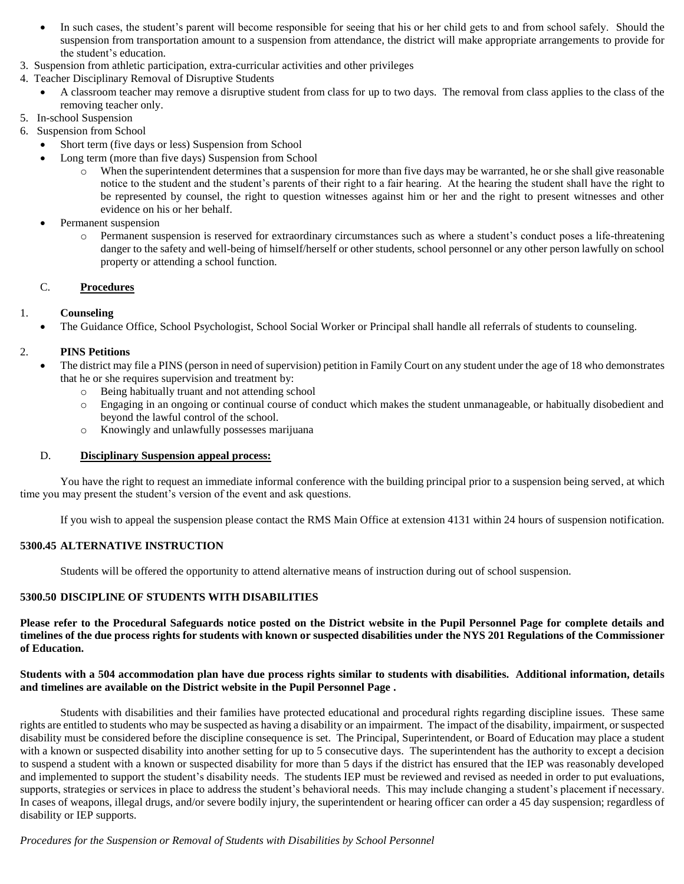- In such cases, the student's parent will become responsible for seeing that his or her child gets to and from school safely. Should the suspension from transportation amount to a suspension from attendance, the district will make appropriate arrangements to provide for the student's education.
- 3. Suspension from athletic participation, extra-curricular activities and other privileges
- 4. Teacher Disciplinary Removal of Disruptive Students
	- A classroom teacher may remove a disruptive student from class for up to two days. The removal from class applies to the class of the removing teacher only.
- 5. In-school Suspension
- 6. Suspension from School
	- Short term (five days or less) Suspension from School
		- Long term (more than five days) Suspension from School
			- When the superintendent determines that a suspension for more than five days may be warranted, he or she shall give reasonable notice to the student and the student's parents of their right to a fair hearing. At the hearing the student shall have the right to be represented by counsel, the right to question witnesses against him or her and the right to present witnesses and other evidence on his or her behalf.
		- Permanent suspension
			- o Permanent suspension is reserved for extraordinary circumstances such as where a student's conduct poses a life-threatening danger to the safety and well-being of himself/herself or other students, school personnel or any other person lawfully on school property or attending a school function.

## C. **Procedures**

## 1. **Counseling**

The Guidance Office, School Psychologist, School Social Worker or Principal shall handle all referrals of students to counseling.

## 2. **PINS Petitions**

- The district may file a PINS (person in need of supervision) petition in Family Court on any student under the age of 18 who demonstrates that he or she requires supervision and treatment by:
	- o Being habitually truant and not attending school
	- o Engaging in an ongoing or continual course of conduct which makes the student unmanageable, or habitually disobedient and beyond the lawful control of the school.
	- o Knowingly and unlawfully possesses marijuana

## D. **Disciplinary Suspension appeal process:**

You have the right to request an immediate informal conference with the building principal prior to a suspension being served, at which time you may present the student's version of the event and ask questions.

If you wish to appeal the suspension please contact the RMS Main Office at extension 4131 within 24 hours of suspension notification.

## **5300.45 ALTERNATIVE INSTRUCTION**

Students will be offered the opportunity to attend alternative means of instruction during out of school suspension.

## **5300.50 DISCIPLINE OF STUDENTS WITH DISABILITIES**

**Please refer to the Procedural Safeguards notice posted on the District website in the Pupil Personnel Page for complete details and timelines of the due process rights for students with known or suspected disabilities under the NYS 201 Regulations of the Commissioner of Education.**

## **Students with a 504 accommodation plan have due process rights similar to students with disabilities. Additional information, details and timelines are available on the District website in the Pupil Personnel Page .**

Students with disabilities and their families have protected educational and procedural rights regarding discipline issues. These same rights are entitled to students who may be suspected as having a disability or an impairment. The impact of the disability, impairment, or suspected disability must be considered before the discipline consequence is set. The Principal, Superintendent, or Board of Education may place a student with a known or suspected disability into another setting for up to 5 consecutive days. The superintendent has the authority to except a decision to suspend a student with a known or suspected disability for more than 5 days if the district has ensured that the IEP was reasonably developed and implemented to support the student's disability needs. The students IEP must be reviewed and revised as needed in order to put evaluations, supports, strategies or services in place to address the student's behavioral needs. This may include changing a student's placement if necessary. In cases of weapons, illegal drugs, and/or severe bodily injury, the superintendent or hearing officer can order a 45 day suspension; regardless of disability or IEP supports.

*Procedures for the Suspension or Removal of Students with Disabilities by School Personnel*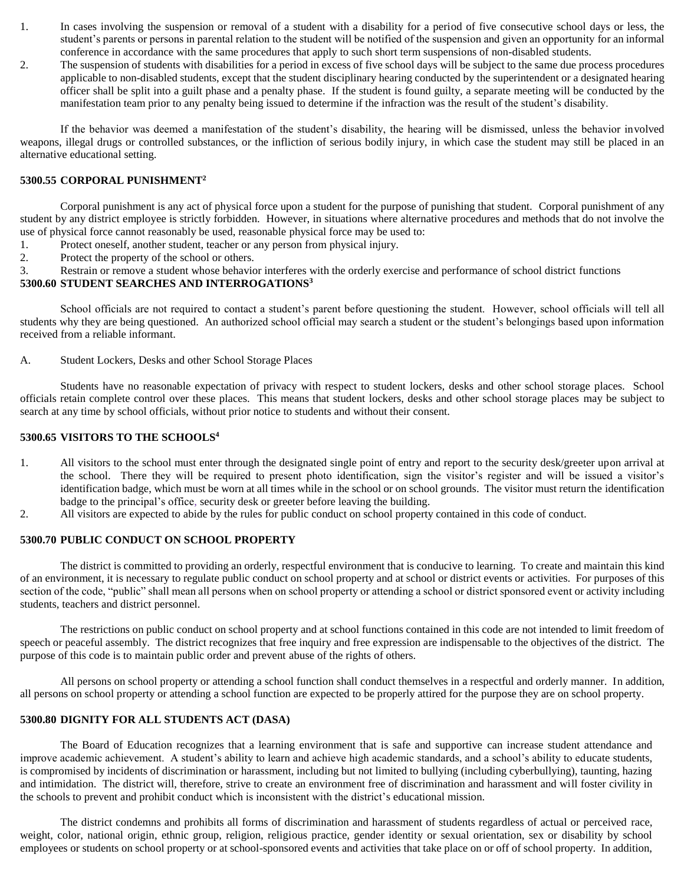- 1. In cases involving the suspension or removal of a student with a disability for a period of five consecutive school days or less, the student's parents or persons in parental relation to the student will be notified of the suspension and given an opportunity for an informal conference in accordance with the same procedures that apply to such short term suspensions of non-disabled students.
- 2. The suspension of students with disabilities for a period in excess of five school days will be subject to the same due process procedures applicable to non-disabled students, except that the student disciplinary hearing conducted by the superintendent or a designated hearing officer shall be split into a guilt phase and a penalty phase. If the student is found guilty, a separate meeting will be conducted by the manifestation team prior to any penalty being issued to determine if the infraction was the result of the student's disability.

If the behavior was deemed a manifestation of the student's disability, the hearing will be dismissed, unless the behavior involved weapons, illegal drugs or controlled substances, or the infliction of serious bodily injury, in which case the student may still be placed in an alternative educational setting.

## **5300.55 CORPORAL PUNISHMENT<sup>2</sup>**

Corporal punishment is any act of physical force upon a student for the purpose of punishing that student. Corporal punishment of any student by any district employee is strictly forbidden. However, in situations where alternative procedures and methods that do not involve the use of physical force cannot reasonably be used, reasonable physical force may be used to:

- 1. Protect oneself, another student, teacher or any person from physical injury.
- 2. Protect the property of the school or others.
- 3. Restrain or remove a student whose behavior interferes with the orderly exercise and performance of school district functions

## **5300.60 STUDENT SEARCHES AND INTERROGATIONS<sup>3</sup>**

School officials are not required to contact a student's parent before questioning the student. However, school officials will tell all students why they are being questioned. An authorized school official may search a student or the student's belongings based upon information received from a reliable informant.

A. Student Lockers, Desks and other School Storage Places

Students have no reasonable expectation of privacy with respect to student lockers, desks and other school storage places. School officials retain complete control over these places. This means that student lockers, desks and other school storage places may be subject to search at any time by school officials, without prior notice to students and without their consent.

## **5300.65 VISITORS TO THE SCHOOLS<sup>4</sup>**

- 1. All visitors to the school must enter through the designated single point of entry and report to the security desk/greeter upon arrival at the school. There they will be required to present photo identification, sign the visitor's register and will be issued a visitor's identification badge, which must be worn at all times while in the school or on school grounds. The visitor must return the identification badge to the principal's office, security desk or greeter before leaving the building.
- 2. All visitors are expected to abide by the rules for public conduct on school property contained in this code of conduct.

## **5300.70 PUBLIC CONDUCT ON SCHOOL PROPERTY**

The district is committed to providing an orderly, respectful environment that is conducive to learning. To create and maintain this kind of an environment, it is necessary to regulate public conduct on school property and at school or district events or activities. For purposes of this section of the code, "public" shall mean all persons when on school property or attending a school or district sponsored event or activity including students, teachers and district personnel.

The restrictions on public conduct on school property and at school functions contained in this code are not intended to limit freedom of speech or peaceful assembly. The district recognizes that free inquiry and free expression are indispensable to the objectives of the district. The purpose of this code is to maintain public order and prevent abuse of the rights of others.

All persons on school property or attending a school function shall conduct themselves in a respectful and orderly manner. In addition, all persons on school property or attending a school function are expected to be properly attired for the purpose they are on school property.

### **5300.80 DIGNITY FOR ALL STUDENTS ACT (DASA)**

The Board of Education recognizes that a learning environment that is safe and supportive can increase student attendance and improve academic achievement. A student's ability to learn and achieve high academic standards, and a school's ability to educate students, is compromised by incidents of discrimination or harassment, including but not limited to bullying (including cyberbullying), taunting, hazing and intimidation. The district will, therefore, strive to create an environment free of discrimination and harassment and will foster civility in the schools to prevent and prohibit conduct which is inconsistent with the district's educational mission.

The district condemns and prohibits all forms of discrimination and harassment of students regardless of actual or perceived race, weight, color, national origin, ethnic group, religion, religious practice, gender identity or sexual orientation, sex or disability by school employees or students on school property or at school-sponsored events and activities that take place on or off of school property. In addition,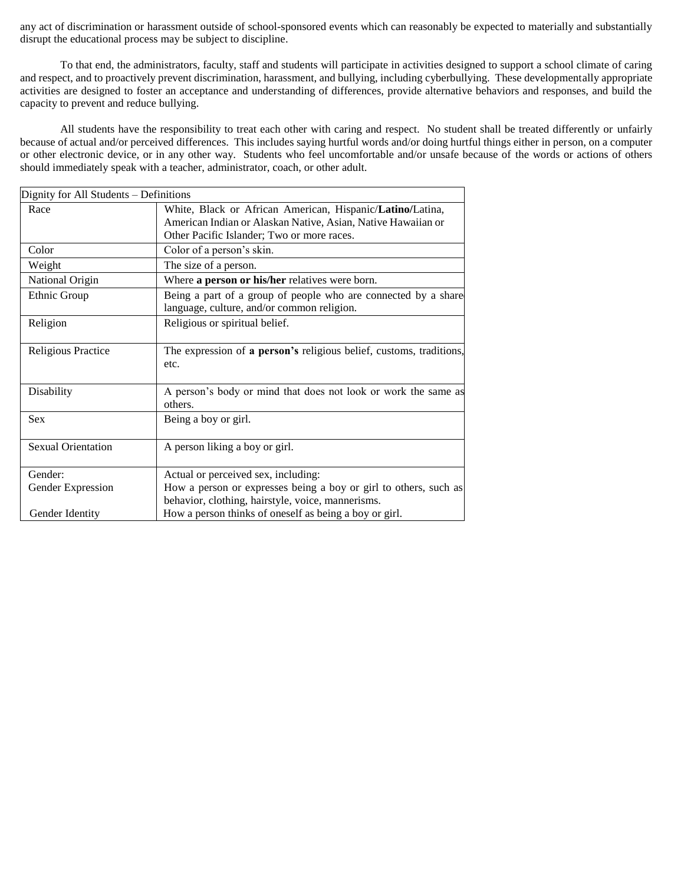any act of discrimination or harassment outside of school-sponsored events which can reasonably be expected to materially and substantially disrupt the educational process may be subject to discipline.

To that end, the administrators, faculty, staff and students will participate in activities designed to support a school climate of caring and respect, and to proactively prevent discrimination, harassment, and bullying, including cyberbullying. These developmentally appropriate activities are designed to foster an acceptance and understanding of differences, provide alternative behaviors and responses, and build the capacity to prevent and reduce bullying.

All students have the responsibility to treat each other with caring and respect. No student shall be treated differently or unfairly because of actual and/or perceived differences. This includes saying hurtful words and/or doing hurtful things either in person, on a computer or other electronic device, or in any other way. Students who feel uncomfortable and/or unsafe because of the words or actions of others should immediately speak with a teacher, administrator, coach, or other adult.

| Dignity for All Students – Definitions |                                                                                                                                                                         |  |  |
|----------------------------------------|-------------------------------------------------------------------------------------------------------------------------------------------------------------------------|--|--|
| Race                                   | White, Black or African American, Hispanic/Latino/Latina,<br>American Indian or Alaskan Native, Asian, Native Hawaiian or<br>Other Pacific Islander; Two or more races. |  |  |
| Color                                  | Color of a person's skin.                                                                                                                                               |  |  |
| Weight                                 | The size of a person.                                                                                                                                                   |  |  |
| National Origin                        | Where a person or his/her relatives were born.                                                                                                                          |  |  |
| Ethnic Group                           | Being a part of a group of people who are connected by a share<br>language, culture, and/or common religion.                                                            |  |  |
| Religion                               | Religious or spiritual belief.                                                                                                                                          |  |  |
| <b>Religious Practice</b>              | The expression of a person's religious belief, customs, traditions,<br>etc.                                                                                             |  |  |
| Disability                             | A person's body or mind that does not look or work the same as<br>others.                                                                                               |  |  |
| <b>Sex</b>                             | Being a boy or girl.                                                                                                                                                    |  |  |
| <b>Sexual Orientation</b>              | A person liking a boy or girl.                                                                                                                                          |  |  |
| Gender:                                | Actual or perceived sex, including:                                                                                                                                     |  |  |
| Gender Expression                      | How a person or expresses being a boy or girl to others, such as<br>behavior, clothing, hairstyle, voice, mannerisms.                                                   |  |  |
| Gender Identity                        | How a person thinks of oneself as being a boy or girl.                                                                                                                  |  |  |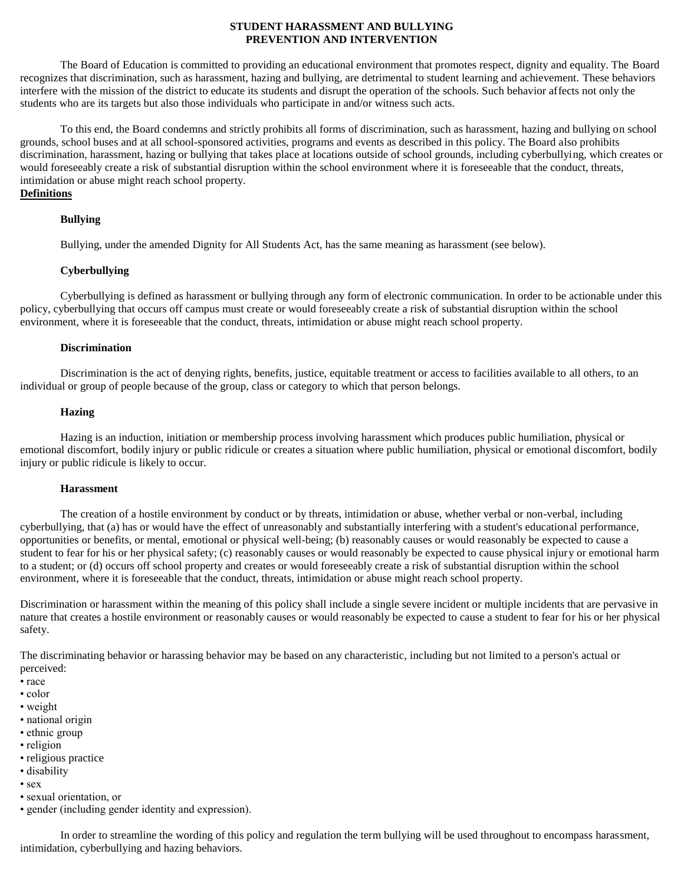### **STUDENT HARASSMENT AND BULLYING PREVENTION AND INTERVENTION**

The Board of Education is committed to providing an educational environment that promotes respect, dignity and equality. The Board recognizes that discrimination, such as harassment, hazing and bullying, are detrimental to student learning and achievement. These behaviors interfere with the mission of the district to educate its students and disrupt the operation of the schools. Such behavior affects not only the students who are its targets but also those individuals who participate in and/or witness such acts.

To this end, the Board condemns and strictly prohibits all forms of discrimination, such as harassment, hazing and bullying on school grounds, school buses and at all school-sponsored activities, programs and events as described in this policy. The Board also prohibits discrimination, harassment, hazing or bullying that takes place at locations outside of school grounds, including cyberbullying, which creates or would foreseeably create a risk of substantial disruption within the school environment where it is foreseeable that the conduct, threats, intimidation or abuse might reach school property.

## **Definitions**

### **Bullying**

Bullying, under the amended Dignity for All Students Act, has the same meaning as harassment (see below).

#### **Cyberbullying**

Cyberbullying is defined as harassment or bullying through any form of electronic communication. In order to be actionable under this policy, cyberbullying that occurs off campus must create or would foreseeably create a risk of substantial disruption within the school environment, where it is foreseeable that the conduct, threats, intimidation or abuse might reach school property.

#### **Discrimination**

Discrimination is the act of denying rights, benefits, justice, equitable treatment or access to facilities available to all others, to an individual or group of people because of the group, class or category to which that person belongs.

#### **Hazing**

Hazing is an induction, initiation or membership process involving harassment which produces public humiliation, physical or emotional discomfort, bodily injury or public ridicule or creates a situation where public humiliation, physical or emotional discomfort, bodily injury or public ridicule is likely to occur.

#### **Harassment**

The creation of a hostile environment by conduct or by threats, intimidation or abuse, whether verbal or non-verbal, including cyberbullying, that (a) has or would have the effect of unreasonably and substantially interfering with a student's educational performance, opportunities or benefits, or mental, emotional or physical well-being; (b) reasonably causes or would reasonably be expected to cause a student to fear for his or her physical safety; (c) reasonably causes or would reasonably be expected to cause physical injury or emotional harm to a student; or (d) occurs off school property and creates or would foreseeably create a risk of substantial disruption within the school environment, where it is foreseeable that the conduct, threats, intimidation or abuse might reach school property.

Discrimination or harassment within the meaning of this policy shall include a single severe incident or multiple incidents that are pervasive in nature that creates a hostile environment or reasonably causes or would reasonably be expected to cause a student to fear for his or her physical safety.

The discriminating behavior or harassing behavior may be based on any characteristic, including but not limited to a person's actual or perceived:

- race
- color
- weight
- national origin
- ethnic group
- religion
- religious practice
- disability
- sex
- sexual orientation, or
- gender (including gender identity and expression).

In order to streamline the wording of this policy and regulation the term bullying will be used throughout to encompass harassment, intimidation, cyberbullying and hazing behaviors.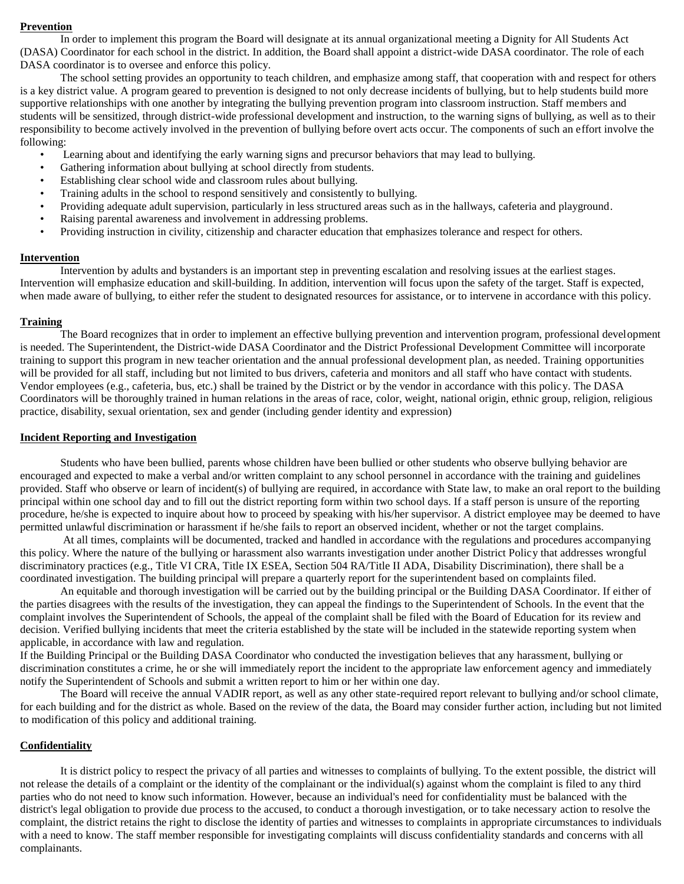#### **Prevention**

In order to implement this program the Board will designate at its annual organizational meeting a Dignity for All Students Act (DASA) Coordinator for each school in the district. In addition, the Board shall appoint a district-wide DASA coordinator. The role of each DASA coordinator is to oversee and enforce this policy.

The school setting provides an opportunity to teach children, and emphasize among staff, that cooperation with and respect for others is a key district value. A program geared to prevention is designed to not only decrease incidents of bullying, but to help students build more supportive relationships with one another by integrating the bullying prevention program into classroom instruction. Staff members and students will be sensitized, through district-wide professional development and instruction, to the warning signs of bullying, as well as to their responsibility to become actively involved in the prevention of bullying before overt acts occur. The components of such an effort involve the following:

- Learning about and identifying the early warning signs and precursor behaviors that may lead to bullying.
- Gathering information about bullying at school directly from students.
- Establishing clear school wide and classroom rules about bullying.
- Training adults in the school to respond sensitively and consistently to bullying.
- Providing adequate adult supervision, particularly in less structured areas such as in the hallways, cafeteria and playground.
- Raising parental awareness and involvement in addressing problems.
- Providing instruction in civility, citizenship and character education that emphasizes tolerance and respect for others.

#### **Intervention**

Intervention by adults and bystanders is an important step in preventing escalation and resolving issues at the earliest stages. Intervention will emphasize education and skill-building. In addition, intervention will focus upon the safety of the target. Staff is expected, when made aware of bullying, to either refer the student to designated resources for assistance, or to intervene in accordance with this policy.

### **Training**

The Board recognizes that in order to implement an effective bullying prevention and intervention program, professional development is needed. The Superintendent, the District-wide DASA Coordinator and the District Professional Development Committee will incorporate training to support this program in new teacher orientation and the annual professional development plan, as needed. Training opportunities will be provided for all staff, including but not limited to bus drivers, cafeteria and monitors and all staff who have contact with students. Vendor employees (e.g., cafeteria, bus, etc.) shall be trained by the District or by the vendor in accordance with this policy. The DASA Coordinators will be thoroughly trained in human relations in the areas of race, color, weight, national origin, ethnic group, religion, religious practice, disability, sexual orientation, sex and gender (including gender identity and expression)

### **Incident Reporting and Investigation**

Students who have been bullied, parents whose children have been bullied or other students who observe bullying behavior are encouraged and expected to make a verbal and/or written complaint to any school personnel in accordance with the training and guidelines provided. Staff who observe or learn of incident(s) of bullying are required, in accordance with State law, to make an oral report to the building principal within one school day and to fill out the district reporting form within two school days. If a staff person is unsure of the reporting procedure, he/she is expected to inquire about how to proceed by speaking with his/her supervisor. A district employee may be deemed to have permitted unlawful discrimination or harassment if he/she fails to report an observed incident, whether or not the target complains.

At all times, complaints will be documented, tracked and handled in accordance with the regulations and procedures accompanying this policy. Where the nature of the bullying or harassment also warrants investigation under another District Policy that addresses wrongful discriminatory practices (e.g., Title VI CRA, Title IX ESEA, Section 504 RA/Title II ADA, Disability Discrimination), there shall be a coordinated investigation. The building principal will prepare a quarterly report for the superintendent based on complaints filed.

An equitable and thorough investigation will be carried out by the building principal or the Building DASA Coordinator. If either of the parties disagrees with the results of the investigation, they can appeal the findings to the Superintendent of Schools. In the event that the complaint involves the Superintendent of Schools, the appeal of the complaint shall be filed with the Board of Education for its review and decision. Verified bullying incidents that meet the criteria established by the state will be included in the statewide reporting system when applicable, in accordance with law and regulation.

If the Building Principal or the Building DASA Coordinator who conducted the investigation believes that any harassment, bullying or discrimination constitutes a crime, he or she will immediately report the incident to the appropriate law enforcement agency and immediately notify the Superintendent of Schools and submit a written report to him or her within one day.

The Board will receive the annual VADIR report, as well as any other state-required report relevant to bullying and/or school climate, for each building and for the district as whole. Based on the review of the data, the Board may consider further action, including but not limited to modification of this policy and additional training.

## **Confidentiality**

It is district policy to respect the privacy of all parties and witnesses to complaints of bullying. To the extent possible, the district will not release the details of a complaint or the identity of the complainant or the individual(s) against whom the complaint is filed to any third parties who do not need to know such information. However, because an individual's need for confidentiality must be balanced with the district's legal obligation to provide due process to the accused, to conduct a thorough investigation, or to take necessary action to resolve the complaint, the district retains the right to disclose the identity of parties and witnesses to complaints in appropriate circumstances to individuals with a need to know. The staff member responsible for investigating complaints will discuss confidentiality standards and concerns with all complainants.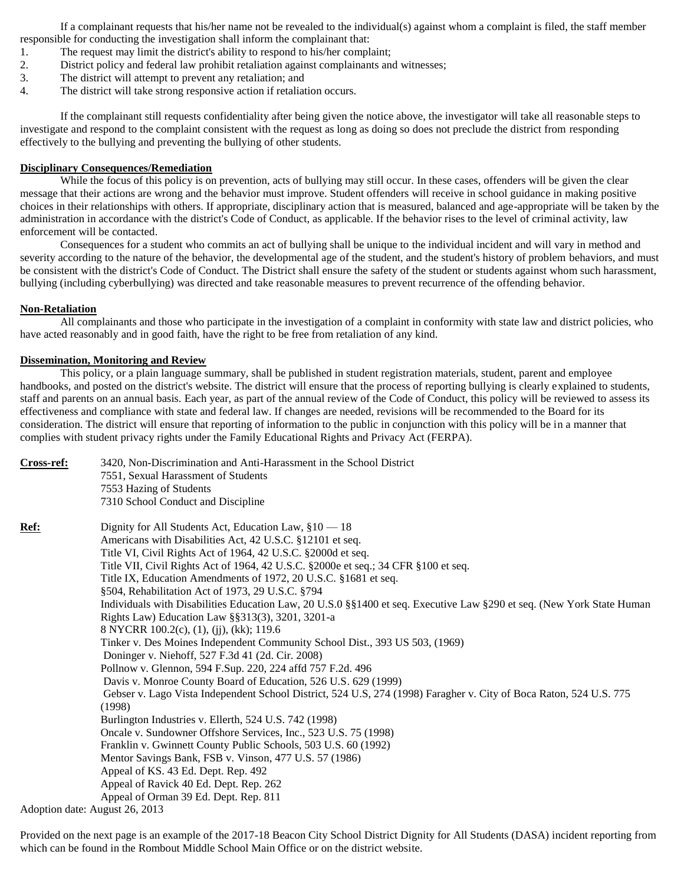If a complainant requests that his/her name not be revealed to the individual(s) against whom a complaint is filed, the staff member responsible for conducting the investigation shall inform the complainant that:

- 1. The request may limit the district's ability to respond to his/her complaint;
- 2. District policy and federal law prohibit retaliation against complainants and witnesses;
- 3. The district will attempt to prevent any retaliation; and
- 4. The district will take strong responsive action if retaliation occurs.

If the complainant still requests confidentiality after being given the notice above, the investigator will take all reasonable steps to investigate and respond to the complaint consistent with the request as long as doing so does not preclude the district from responding effectively to the bullying and preventing the bullying of other students.

### **Disciplinary Consequences/Remediation**

While the focus of this policy is on prevention, acts of bullying may still occur. In these cases, offenders will be given the clear message that their actions are wrong and the behavior must improve. Student offenders will receive in school guidance in making positive choices in their relationships with others. If appropriate, disciplinary action that is measured, balanced and age-appropriate will be taken by the administration in accordance with the district's Code of Conduct, as applicable. If the behavior rises to the level of criminal activity, law enforcement will be contacted.

Consequences for a student who commits an act of bullying shall be unique to the individual incident and will vary in method and severity according to the nature of the behavior, the developmental age of the student, and the student's history of problem behaviors, and must be consistent with the district's Code of Conduct. The District shall ensure the safety of the student or students against whom such harassment, bullying (including cyberbullying) was directed and take reasonable measures to prevent recurrence of the offending behavior.

### **Non-Retaliation**

All complainants and those who participate in the investigation of a complaint in conformity with state law and district policies, who have acted reasonably and in good faith, have the right to be free from retaliation of any kind.

### **Dissemination, Monitoring and Review**

This policy, or a plain language summary, shall be published in student registration materials, student, parent and employee handbooks, and posted on the district's website. The district will ensure that the process of reporting bullying is clearly explained to students, staff and parents on an annual basis. Each year, as part of the annual review of the Code of Conduct, this policy will be reviewed to assess its effectiveness and compliance with state and federal law. If changes are needed, revisions will be recommended to the Board for its consideration. The district will ensure that reporting of information to the public in conjunction with this policy will be in a manner that complies with student privacy rights under the Family Educational Rights and Privacy Act (FERPA).

| Cross-ref:  | 3420, Non-Discrimination and Anti-Harassment in the School District                                                   |
|-------------|-----------------------------------------------------------------------------------------------------------------------|
|             | 7551, Sexual Harassment of Students                                                                                   |
|             | 7553 Hazing of Students                                                                                               |
|             | 7310 School Conduct and Discipline                                                                                    |
| <u>Ref:</u> | Dignity for All Students Act, Education Law, §10 - 18                                                                 |
|             | Americans with Disabilities Act, 42 U.S.C. §12101 et seq.                                                             |
|             | Title VI, Civil Rights Act of 1964, 42 U.S.C. §2000d et seq.                                                          |
|             | Title VII, Civil Rights Act of 1964, 42 U.S.C. §2000e et seq.; 34 CFR §100 et seq.                                    |
|             | Title IX, Education Amendments of 1972, 20 U.S.C. §1681 et seq.                                                       |
|             | §504, Rehabilitation Act of 1973, 29 U.S.C. §794                                                                      |
|             | Individuals with Disabilities Education Law, 20 U.S.0 §§1400 et seq. Executive Law §290 et seq. (New York State Human |
|             | Rights Law) Education Law §§313(3), 3201, 3201-a                                                                      |
|             | 8 NYCRR 100.2(c), (1), (jj), (kk); 119.6                                                                              |
|             | Tinker v. Des Moines Independent Community School Dist., 393 US 503, (1969)                                           |
|             | Doninger v. Niehoff, 527 F.3d 41 (2d. Cir. 2008)                                                                      |
|             | Pollnow v. Glennon, 594 F.Sup. 220, 224 affd 757 F.2d. 496                                                            |
|             | Davis v. Monroe County Board of Education, 526 U.S. 629 (1999)                                                        |
|             | Gebser v. Lago Vista Independent School District, 524 U.S. 274 (1998) Faragher v. City of Boca Raton, 524 U.S. 775    |
|             | (1998)                                                                                                                |
|             | Burlington Industries v. Ellerth, 524 U.S. 742 (1998)                                                                 |
|             | Oncale v. Sundowner Offshore Services, Inc., 523 U.S. 75 (1998)                                                       |
|             | Franklin v. Gwinnett County Public Schools, 503 U.S. 60 (1992)                                                        |
|             | Mentor Savings Bank, FSB v. Vinson, 477 U.S. 57 (1986)                                                                |
|             | Appeal of KS. 43 Ed. Dept. Rep. 492                                                                                   |
|             | Appeal of Ravick 40 Ed. Dept. Rep. 262                                                                                |
|             | Appeal of Orman 39 Ed. Dept. Rep. 811                                                                                 |
|             | Adoption date: August 26, 2013                                                                                        |

Provided on the next page is an example of the 2017-18 Beacon City School District Dignity for All Students (DASA) incident reporting from which can be found in the Rombout Middle School Main Office or on the district website.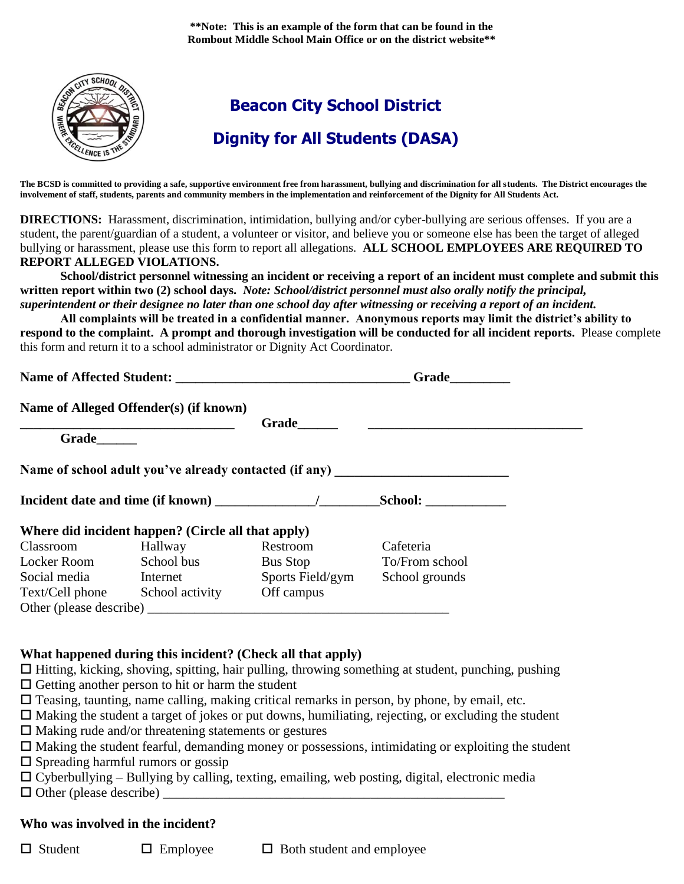**\*\*Note: This is an example of the form that can be found in the Rombout Middle School Main Office or on the district website\*\***



**The BCSD is committed to providing a safe, supportive environment free from harassment, bullying and discrimination for all students. The District encourages the involvement of staff, students, parents and community members in the implementation and reinforcement of the Dignity for All Students Act.** 

**DIRECTIONS:** Harassment, discrimination, intimidation, bullying and/or cyber-bullying are serious offenses. If you are a student, the parent/guardian of a student, a volunteer or visitor, and believe you or someone else has been the target of alleged bullying or harassment, please use this form to report all allegations. **ALL SCHOOL EMPLOYEES ARE REQUIRED TO REPORT ALLEGED VIOLATIONS.** 

**School/district personnel witnessing an incident or receiving a report of an incident must complete and submit this written report within two (2) school days.** *Note: School/district personnel must also orally notify the principal, superintendent or their designee no later than one school day after witnessing or receiving a report of an incident.* 

**All complaints will be treated in a confidential manner. Anonymous reports may limit the district's ability to respond to the complaint. A prompt and thorough investigation will be conducted for all incident reports.** Please complete this form and return it to a school administrator or Dignity Act Coordinator.

| <b>Name of Affected Student:</b> | Grade |
|----------------------------------|-------|
|                                  |       |

|                         | Name of Alleged Offender(s) (if known)             |                  |                                                                                  |  |
|-------------------------|----------------------------------------------------|------------------|----------------------------------------------------------------------------------|--|
| Grade                   |                                                    | Grade            |                                                                                  |  |
|                         |                                                    |                  | Name of school adult you've already contacted (if any) _________________________ |  |
|                         |                                                    |                  | School:                                                                          |  |
|                         | Where did incident happen? (Circle all that apply) |                  |                                                                                  |  |
| Classroom               | Hallway                                            | <b>Restroom</b>  | Cafeteria                                                                        |  |
| Locker Room             | School bus                                         | Bus Stop         | To/From school                                                                   |  |
| Social media            | Internet                                           | Sports Field/gym | School grounds                                                                   |  |
| Text/Cell phone         | School activity                                    | Off campus       |                                                                                  |  |
| Other (please describe) |                                                    |                  |                                                                                  |  |

# **What happened during this incident? (Check all that apply)**

 $\Box$  Hitting, kicking, shoving, spitting, hair pulling, throwing something at student, punching, pushing  $\Box$  Getting another person to hit or harm the student

- $\Box$  Teasing, taunting, name calling, making critical remarks in person, by phone, by email, etc.
- $\Box$  Making the student a target of jokes or put downs, humiliating, rejecting, or excluding the student

 $\Box$  Making rude and/or threatening statements or gestures

| $\Box$ Making the student fearful, demanding money or possessions, intimidating or exploiting the student |  |  |
|-----------------------------------------------------------------------------------------------------------|--|--|
|                                                                                                           |  |  |

 $\square$  Spreading harmful rumors or gossip

 $\Box$  Cyberbullying – Bullying by calling, texting, emailing, web posting, digital, electronic media

 $\Box$  Other (please describe)

# **Who was involved in the incident?**